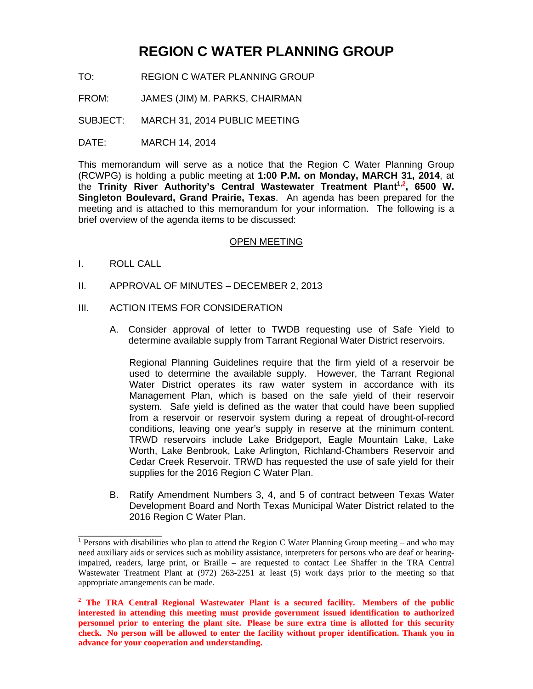## **REGION C WATER PLANNING GROUP**

- TO: REGION C WATER PLANNING GROUP
- FROM: JAMES (JIM) M. PARKS, CHAIRMAN

SUBJECT: MARCH 31, 2014 PUBLIC MEETING

DATE: MARCH 14, 2014

This memorandum will serve as a notice that the Region C Water Planning Group (RCWPG) is holding a public meeting at **1:00 P.M. on Monday, MARCH 31, 2014**, at the **Trinity River Authority's Central Wastewater Treatment Plant1,2 , 6500 W. Singleton Boulevard, Grand Prairie, Texas**. An agenda has been prepared for the meeting and is attached to this memorandum for your information. The following is a brief overview of the agenda items to be discussed:

## OPEN MEETING

I. ROLL CALL

 $\overline{\phantom{a}}$  , where  $\overline{\phantom{a}}$ 

- II. APPROVAL OF MINUTES DECEMBER 2, 2013
- III. ACTION ITEMS FOR CONSIDERATION
	- A. Consider approval of letter to TWDB requesting use of Safe Yield to determine available supply from Tarrant Regional Water District reservoirs.

Regional Planning Guidelines require that the firm yield of a reservoir be used to determine the available supply. However, the Tarrant Regional Water District operates its raw water system in accordance with its Management Plan, which is based on the safe yield of their reservoir system. Safe yield is defined as the water that could have been supplied from a reservoir or reservoir system during a repeat of drought-of-record conditions, leaving one year's supply in reserve at the minimum content. TRWD reservoirs include Lake Bridgeport, Eagle Mountain Lake, Lake Worth, Lake Benbrook, Lake Arlington, Richland-Chambers Reservoir and Cedar Creek Reservoir. TRWD has requested the use of safe yield for their supplies for the 2016 Region C Water Plan.

B. Ratify Amendment Numbers 3, 4, and 5 of contract between Texas Water Development Board and North Texas Municipal Water District related to the 2016 Region C Water Plan.

<sup>&</sup>lt;sup>1</sup> Persons with disabilities who plan to attend the Region C Water Planning Group meeting – and who may need auxiliary aids or services such as mobility assistance, interpreters for persons who are deaf or hearingimpaired, readers, large print, or Braille – are requested to contact Lee Shaffer in the TRA Central Wastewater Treatment Plant at (972) 263-2251 at least (5) work days prior to the meeting so that appropriate arrangements can be made.

<sup>&</sup>lt;sup>2</sup> The TRA Central Regional Wastewater Plant is a secured facility. Members of the public **interested in attending this meeting must provide government issued identification to authorized personnel prior to entering the plant site. Please be sure extra time is allotted for this security check. No person will be allowed to enter the facility without proper identification. Thank you in advance for your cooperation and understanding.**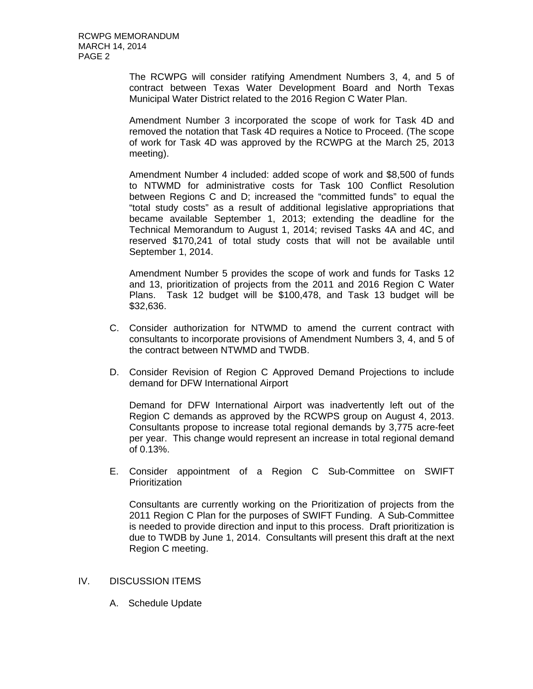The RCWPG will consider ratifying Amendment Numbers 3, 4, and 5 of contract between Texas Water Development Board and North Texas Municipal Water District related to the 2016 Region C Water Plan.

Amendment Number 3 incorporated the scope of work for Task 4D and removed the notation that Task 4D requires a Notice to Proceed. (The scope of work for Task 4D was approved by the RCWPG at the March 25, 2013 meeting).

Amendment Number 4 included: added scope of work and \$8,500 of funds to NTWMD for administrative costs for Task 100 Conflict Resolution between Regions C and D; increased the "committed funds" to equal the "total study costs" as a result of additional legislative appropriations that became available September 1, 2013; extending the deadline for the Technical Memorandum to August 1, 2014; revised Tasks 4A and 4C, and reserved \$170,241 of total study costs that will not be available until September 1, 2014.

Amendment Number 5 provides the scope of work and funds for Tasks 12 and 13, prioritization of projects from the 2011 and 2016 Region C Water Plans. Task 12 budget will be \$100,478, and Task 13 budget will be \$32,636.

- C. Consider authorization for NTWMD to amend the current contract with consultants to incorporate provisions of Amendment Numbers 3, 4, and 5 of the contract between NTWMD and TWDB.
- D. Consider Revision of Region C Approved Demand Projections to include demand for DFW International Airport

Demand for DFW International Airport was inadvertently left out of the Region C demands as approved by the RCWPS group on August 4, 2013. Consultants propose to increase total regional demands by 3,775 acre-feet per year. This change would represent an increase in total regional demand of 0.13%.

E. Consider appointment of a Region C Sub-Committee on SWIFT Prioritization

Consultants are currently working on the Prioritization of projects from the 2011 Region C Plan for the purposes of SWIFT Funding. A Sub-Committee is needed to provide direction and input to this process. Draft prioritization is due to TWDB by June 1, 2014. Consultants will present this draft at the next Region C meeting.

- IV. DISCUSSION ITEMS
	- A. Schedule Update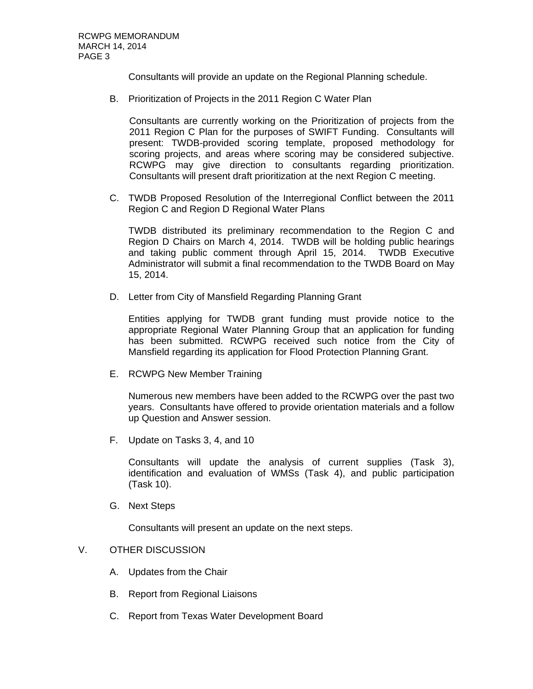Consultants will provide an update on the Regional Planning schedule.

B. Prioritization of Projects in the 2011 Region C Water Plan

Consultants are currently working on the Prioritization of projects from the 2011 Region C Plan for the purposes of SWIFT Funding. Consultants will present: TWDB-provided scoring template, proposed methodology for scoring projects, and areas where scoring may be considered subjective. RCWPG may give direction to consultants regarding prioritization. Consultants will present draft prioritization at the next Region C meeting.

C. TWDB Proposed Resolution of the Interregional Conflict between the 2011 Region C and Region D Regional Water Plans

TWDB distributed its preliminary recommendation to the Region C and Region D Chairs on March 4, 2014. TWDB will be holding public hearings and taking public comment through April 15, 2014. TWDB Executive Administrator will submit a final recommendation to the TWDB Board on May 15, 2014.

D. Letter from City of Mansfield Regarding Planning Grant

Entities applying for TWDB grant funding must provide notice to the appropriate Regional Water Planning Group that an application for funding has been submitted. RCWPG received such notice from the City of Mansfield regarding its application for Flood Protection Planning Grant.

E. RCWPG New Member Training

Numerous new members have been added to the RCWPG over the past two years. Consultants have offered to provide orientation materials and a follow up Question and Answer session.

F. Update on Tasks 3, 4, and 10

Consultants will update the analysis of current supplies (Task 3), identification and evaluation of WMSs (Task 4), and public participation (Task 10).

G. Next Steps

Consultants will present an update on the next steps.

## V. OTHER DISCUSSION

- A. Updates from the Chair
- B. Report from Regional Liaisons
- C. Report from Texas Water Development Board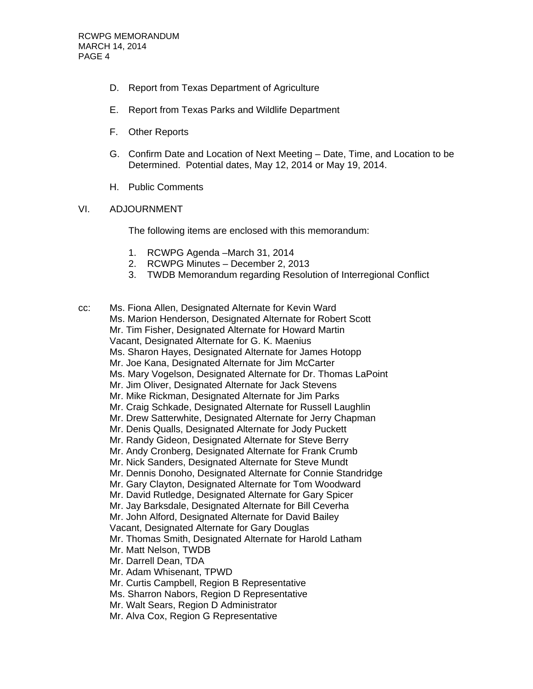- D. Report from Texas Department of Agriculture
- E. Report from Texas Parks and Wildlife Department
- F. Other Reports
- G. Confirm Date and Location of Next Meeting Date, Time, and Location to be Determined. Potential dates, May 12, 2014 or May 19, 2014.
- H. Public Comments
- VI. ADJOURNMENT

The following items are enclosed with this memorandum:

- 1. RCWPG Agenda –March 31, 2014
- 2. RCWPG Minutes December 2, 2013
- 3. TWDB Memorandum regarding Resolution of Interregional Conflict

cc: Ms. Fiona Allen, Designated Alternate for Kevin Ward Ms. Marion Henderson, Designated Alternate for Robert Scott Mr. Tim Fisher, Designated Alternate for Howard Martin Vacant, Designated Alternate for G. K. Maenius Ms. Sharon Hayes, Designated Alternate for James Hotopp Mr. Joe Kana, Designated Alternate for Jim McCarter Ms. Mary Vogelson, Designated Alternate for Dr. Thomas LaPoint Mr. Jim Oliver, Designated Alternate for Jack Stevens Mr. Mike Rickman, Designated Alternate for Jim Parks Mr. Craig Schkade, Designated Alternate for Russell Laughlin Mr. Drew Satterwhite, Designated Alternate for Jerry Chapman Mr. Denis Qualls, Designated Alternate for Jody Puckett Mr. Randy Gideon, Designated Alternate for Steve Berry Mr. Andy Cronberg, Designated Alternate for Frank Crumb Mr. Nick Sanders, Designated Alternate for Steve Mundt Mr. Dennis Donoho, Designated Alternate for Connie Standridge Mr. Gary Clayton, Designated Alternate for Tom Woodward Mr. David Rutledge, Designated Alternate for Gary Spicer Mr. Jay Barksdale, Designated Alternate for Bill Ceverha Mr. John Alford, Designated Alternate for David Bailey Vacant, Designated Alternate for Gary Douglas Mr. Thomas Smith, Designated Alternate for Harold Latham Mr. Matt Nelson, TWDB Mr. Darrell Dean, TDA Mr. Adam Whisenant, TPWD Mr. Curtis Campbell, Region B Representative Ms. Sharron Nabors, Region D Representative Mr. Walt Sears, Region D Administrator

Mr. Alva Cox, Region G Representative